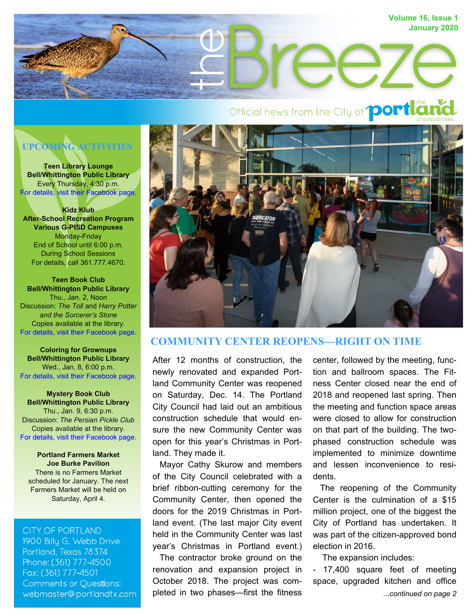

# **UPCOMING ACTIVITIES**

**Teen Library Lounge Bell/Whittington Public Library**  Every Thursday, 4:30 p.m. [For details, visit their Facebook page.](https://www.facebook.com/BellWhittingtonLibrary/?fref=profile_friend_list&hc_location=profile_browser)

**Kidz Klub After-School Recreation Program Various G-PISD Campuses**  Monday-Friday End of School until 6:00 p.m. During School Sessions For details, call 361.777.4670.

**Teen Book Club Bell/Whittington Public Library**  Thu., Jan. 2, Noon Discussion: *The Toll* and *Harry Potter and the Sorcerer's Stone* Copies available at the library. [For details, visit their Facebook page.](https://www.facebook.com/BellWhittingtonLibrary/?fref=profile_friend_list&hc_location=profile_browser)

**Coloring for Grownups Bell/Whittington Public Library**  Wed., Jan. 8, 6:00 p.m. [For details, visit their Facebook page.](https://www.facebook.com/BellWhittingtonLibrary/?fref=profile_friend_list&hc_location=profile_browser)

**Mystery Book Club Bell/Whittington Public Library**  Thu., Jan. 9, 6:30 p.m. Discussion: *The Persian Pickle Club* Copies available at the library. [For details, visit their Facebook page.](https://www.facebook.com/BellWhittingtonLibrary/?fref=profile_friend_list&hc_location=profile_browser)

**Portland Farmers Market Joe Burke Pavilion** There is no Farmers Market scheduled for January. The next Farmers Market will be held on Saturday, April 4.

#### **CITY OF PORTLAND**

1900 Billy G. Webb Drive Portland, Texas 78374 Phone: (361) 777-4500 Fax: (361) 777-4501 **Comments or Questions:** webmaster@portlandtx.com



# **COMMUNITY CENTER REOPENS—RIGHT ON TIME**

After 12 months of construction, the newly renovated and expanded Portland Community Center was reopened on Saturday, Dec. 14. The Portland City Council had laid out an ambitious construction schedule that would ensure the new Community Center was open for this year's Christmas in Portland. They made it.

 Mayor Cathy Skurow and members of the City Council celebrated with a brief ribbon-cutting ceremony for the Community Center, then opened the doors for the 2019 Christmas in Portland event. (The last major City event held in the Community Center was last year's Christmas in Portland event.)

 The contractor broke ground on the renovation and expansion project in October 2018. The project was completed in two phases—first the fitness center, followed by the meeting, function and ballroom spaces. The Fitness Center closed near the end of 2018 and reopened last spring. Then the meeting and function space areas were closed to allow for construction on that part of the building. The twophased construction schedule was implemented to minimize downtime and lessen inconvenience to residents.

 The reopening of the Community Center is the culmination of a \$15 million project, one of the biggest the City of Portland has undertaken. It was part of the citizen-approved bond election in 2016.

The expansion includes:

*...continued on page 2* - 17,400 square feet of meeting space, upgraded kitchen and office